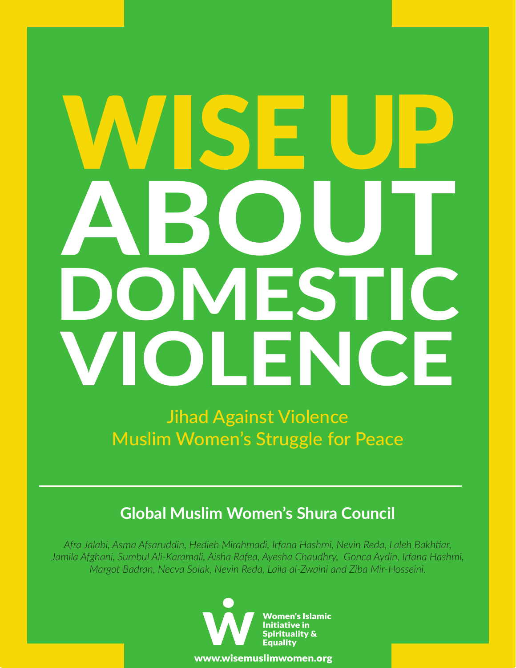# ABOUT IFST **DI FNC**

Jihad Against Violence Muslim Women's Struggle for Peace

### **Global Muslim Women's Shura Council**

*Afra Jalabi, Asma Afsaruddin, Hedieh Mirahmadi, Irfana Hashmi, Nevin Reda, Laleh Bakhtiar, Jamila Afghani, Sumbul Ali-Karamali, Aisha Rafea, Ayesha Chaudhry, Gonca Aydin, Irfana Hashmi, Margot Badran, Necva Solak, Nevin Reda, Laila al-Zwaini and Ziba Mir-Hosseini.*



www.wisemuslimwomen.org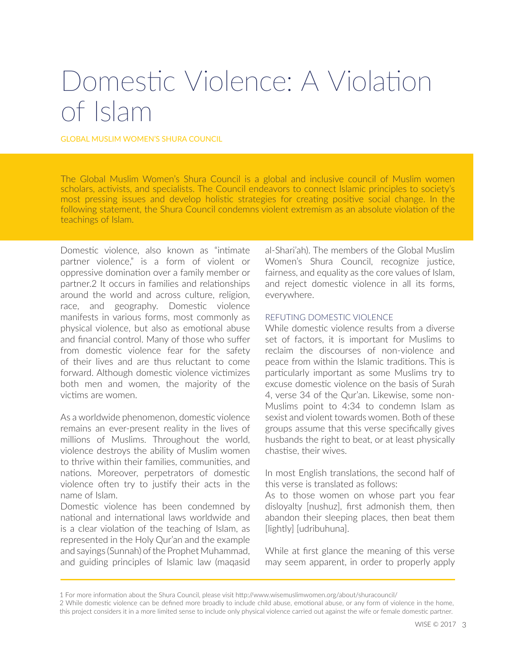## Domestic Violence: A Violation of Islam

GLOBAL MUSLIM WOMEN'S SHURA COUNCIL

The Global Muslim Women's Shura Council is a global and inclusive council of Muslim women scholars, activists, and specialists. The Council endeavors to connect Islamic principles to society's most pressing issues and develop holistic strategies for creating positive social change. In the following statement, the Shura Council condemns violent extremism as an absolute violation of the teachings of Islam.

Domestic violence, also known as "intimate partner violence," is a form of violent or oppressive domination over a family member or partner.2 It occurs in families and relationships around the world and across culture, religion, race, and geography. Domestic violence manifests in various forms, most commonly as physical violence, but also as emotional abuse and financial control. Many of those who suffer from domestic violence fear for the safety of their lives and are thus reluctant to come forward. Although domestic violence victimizes both men and women, the majority of the victims are women.

As a worldwide phenomenon, domestic violence remains an ever-present reality in the lives of millions of Muslims. Throughout the world, violence destroys the ability of Muslim women to thrive within their families, communities, and nations. Moreover, perpetrators of domestic violence often try to justify their acts in the name of Islam.

Domestic violence has been condemned by national and international laws worldwide and is a clear violation of the teaching of Islam, as represented in the Holy Qur'an and the example and sayings (Sunnah) of the Prophet Muhammad, and guiding principles of Islamic law (maqasid

al-Shari'ah). The members of the Global Muslim Women's Shura Council, recognize justice, fairness, and equality as the core values of Islam, and reject domestic violence in all its forms, everywhere.

#### REFUTING DOMESTIC VIOLENCE

While domestic violence results from a diverse set of factors, it is important for Muslims to reclaim the discourses of non-violence and peace from within the Islamic traditions. This is particularly important as some Muslims try to excuse domestic violence on the basis of Surah 4, verse 34 of the Qur'an. Likewise, some non-Muslims point to 4:34 to condemn Islam as sexist and violent towards women. Both of these groups assume that this verse specifically gives husbands the right to beat, or at least physically chastise, their wives.

In most English translations, the second half of this verse is translated as follows:

As to those women on whose part you fear disloyalty [nushuz], first admonish them, then abandon their sleeping places, then beat them [lightly] [udribuhuna].

While at first glance the meaning of this verse may seem apparent, in order to properly apply

<sup>1</sup> For more information about the Shura Council, please visit http://www.wisemuslimwomen.org/about/shuracouncil/

<sup>2</sup> While domestic violence can be defined more broadly to include child abuse, emotional abuse, or any form of violence in the home, this project considers it in a more limited sense to include only physical violence carried out against the wife or female domestic partner.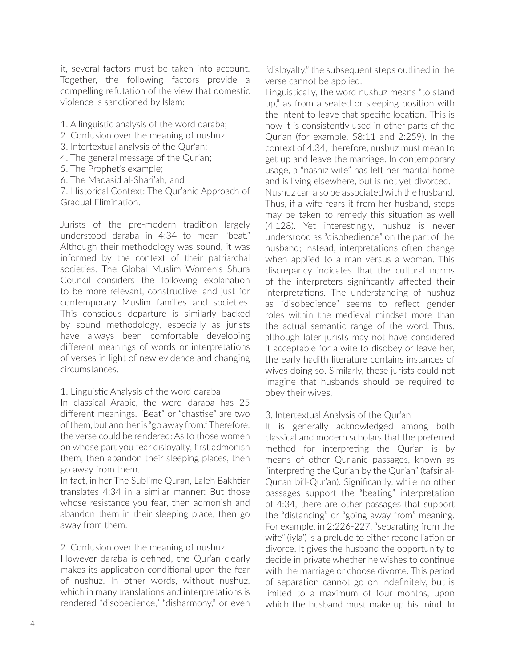it, several factors must be taken into account. Together, the following factors provide a compelling refutation of the view that domestic violence is sanctioned by Islam:

- 1. A linguistic analysis of the word daraba;
- 2. Confusion over the meaning of nushuz;
- 3. Intertextual analysis of the Qur'an;
- 4. The general message of the Qur'an;
- 5. The Prophet's example;
- 6. The Maqasid al-Shari'ah; and

7. Historical Context: The Qur'anic Approach of Gradual Elimination.

Jurists of the pre-modern tradition largely understood daraba in 4:34 to mean "beat." Although their methodology was sound, it was informed by the context of their patriarchal societies. The Global Muslim Women's Shura Council considers the following explanation to be more relevant, constructive, and just for contemporary Muslim families and societies. This conscious departure is similarly backed by sound methodology, especially as jurists have always been comfortable developing different meanings of words or interpretations of verses in light of new evidence and changing circumstances.

1. Linguistic Analysis of the word daraba

In classical Arabic, the word daraba has 25 different meanings. "Beat" or "chastise" are two of them, but another is "go away from." Therefore, the verse could be rendered: As to those women on whose part you fear disloyalty, first admonish them, then abandon their sleeping places, then go away from them.

In fact, in her The Sublime Quran, Laleh Bakhtiar translates 4:34 in a similar manner: But those whose resistance you fear, then admonish and abandon them in their sleeping place, then go away from them.

#### 2. Confusion over the meaning of nushuz

However daraba is defined, the Qur'an clearly makes its application conditional upon the fear of nushuz. In other words, without nushuz, which in many translations and interpretations is rendered "disobedience," "disharmony," or even

"disloyalty," the subsequent steps outlined in the verse cannot be applied.

Linguistically, the word nushuz means "to stand up," as from a seated or sleeping position with the intent to leave that specific location. This is how it is consistently used in other parts of the Qur'an (for example, 58:11 and 2:259). In the context of 4:34, therefore, nushuz must mean to get up and leave the marriage. In contemporary usage, a "nashiz wife" has left her marital home and is living elsewhere, but is not yet divorced.

Nushuz can also be associated with the husband. Thus, if a wife fears it from her husband, steps may be taken to remedy this situation as well (4:128). Yet interestingly, nushuz is never understood as "disobedience" on the part of the husband; instead, interpretations often change when applied to a man versus a woman. This discrepancy indicates that the cultural norms of the interpreters significantly affected their interpretations. The understanding of nushuz as "disobedience" seems to reflect gender roles within the medieval mindset more than the actual semantic range of the word. Thus, although later jurists may not have considered it acceptable for a wife to disobey or leave her, the early hadith literature contains instances of wives doing so. Similarly, these jurists could not imagine that husbands should be required to obey their wives.

#### 3. Intertextual Analysis of the Qur'an

It is generally acknowledged among both classical and modern scholars that the preferred method for interpreting the Qur'an is by means of other Qur'anic passages, known as "interpreting the Qur'an by the Qur'an" (tafsir al-Qur'an bi'l-Qur'an). Significantly, while no other passages support the "beating" interpretation of 4:34, there are other passages that support the "distancing" or "going away from" meaning. For example, in 2:226-227, "separating from the wife" (iyla') is a prelude to either reconciliation or divorce. It gives the husband the opportunity to decide in private whether he wishes to continue with the marriage or choose divorce. This period of separation cannot go on indefinitely, but is limited to a maximum of four months, upon which the husband must make up his mind. In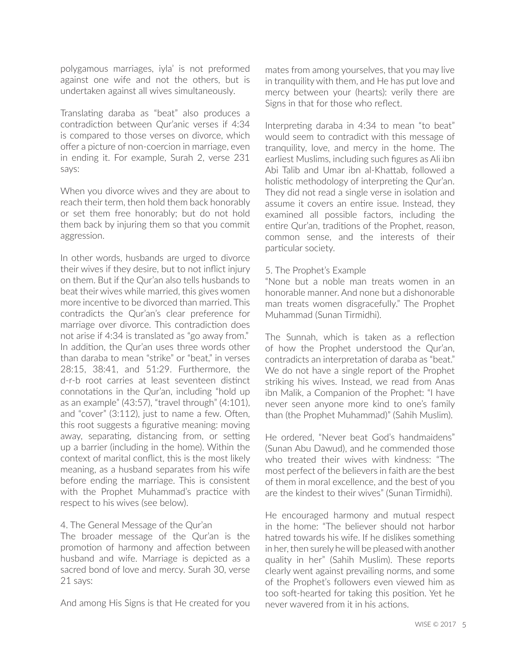polygamous marriages, iyla' is not preformed against one wife and not the others, but is undertaken against all wives simultaneously.

Translating daraba as "beat" also produces a contradiction between Qur'anic verses if 4:34 is compared to those verses on divorce, which offer a picture of non-coercion in marriage, even in ending it. For example, Surah 2, verse 231 says:

When you divorce wives and they are about to reach their term, then hold them back honorably or set them free honorably; but do not hold them back by injuring them so that you commit aggression.

In other words, husbands are urged to divorce their wives if they desire, but to not inflict injury on them. But if the Qur'an also tells husbands to beat their wives while married, this gives women more incentive to be divorced than married. This contradicts the Qur'an's clear preference for marriage over divorce. This contradiction does not arise if 4:34 is translated as "go away from." In addition, the Qur'an uses three words other than daraba to mean "strike" or "beat," in verses 28:15, 38:41, and 51:29. Furthermore, the d-r-b root carries at least seventeen distinct connotations in the Qur'an, including "hold up as an example" (43:57), "travel through" (4:101), and "cover" (3:112), just to name a few. Often, this root suggests a figurative meaning: moving away, separating, distancing from, or setting up a barrier (including in the home). Within the context of marital conflict, this is the most likely meaning, as a husband separates from his wife before ending the marriage. This is consistent with the Prophet Muhammad's practice with respect to his wives (see below).

4. The General Message of the Qur'an

The broader message of the Qur'an is the promotion of harmony and affection between husband and wife. Marriage is depicted as a sacred bond of love and mercy. Surah 30, verse 21 says:

And among His Signs is that He created for you

mates from among yourselves, that you may live in tranquility with them, and He has put love and mercy between your (hearts): verily there are Signs in that for those who reflect.

Interpreting daraba in 4:34 to mean "to beat" would seem to contradict with this message of tranquility, love, and mercy in the home. The earliest Muslims, including such figures as Ali ibn Abi Talib and Umar ibn al-Khattab, followed a holistic methodology of interpreting the Qur'an. They did not read a single verse in isolation and assume it covers an entire issue. Instead, they examined all possible factors, including the entire Qur'an, traditions of the Prophet, reason, common sense, and the interests of their particular society.

#### 5. The Prophet's Example

"None but a noble man treats women in an honorable manner. And none but a dishonorable man treats women disgracefully." The Prophet Muhammad (Sunan Tirmidhi).

The Sunnah, which is taken as a reflection of how the Prophet understood the Qur'an, contradicts an interpretation of daraba as "beat." We do not have a single report of the Prophet striking his wives. Instead, we read from Anas ibn Malik, a Companion of the Prophet: "I have never seen anyone more kind to one's family than (the Prophet Muhammad)" (Sahih Muslim).

He ordered, "Never beat God's handmaidens" (Sunan Abu Dawud), and he commended those who treated their wives with kindness: "The most perfect of the believers in faith are the best of them in moral excellence, and the best of you are the kindest to their wives" (Sunan Tirmidhi).

He encouraged harmony and mutual respect in the home: "The believer should not harbor hatred towards his wife. If he dislikes something in her, then surely he will be pleased with another quality in her" (Sahih Muslim). These reports clearly went against prevailing norms, and some of the Prophet's followers even viewed him as too soft-hearted for taking this position. Yet he never wavered from it in his actions.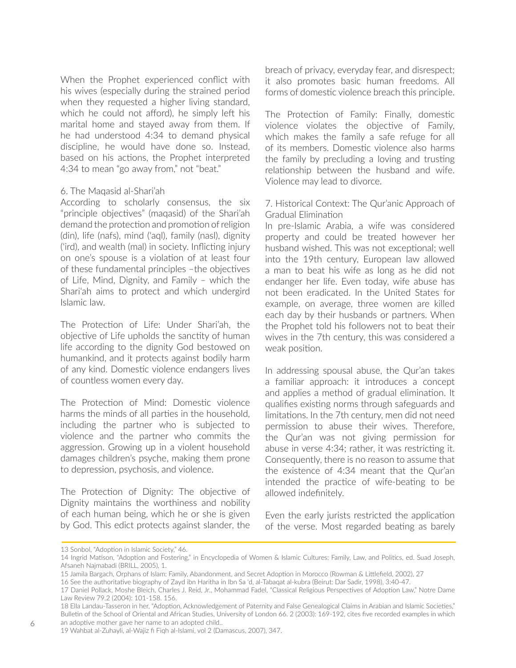When the Prophet experienced conflict with his wives (especially during the strained period when they requested a higher living standard, which he could not afford), he simply left his marital home and stayed away from them. If he had understood 4:34 to demand physical discipline, he would have done so. Instead, based on his actions, the Prophet interpreted 4:34 to mean "go away from," not "beat."

#### 6. The Maqasid al-Shari'ah

According to scholarly consensus, the six "principle objectives" (maqasid) of the Shari'ah demand the protection and promotion of religion (din), life (nafs), mind ('aql), family (nasl), dignity ('ird), and wealth (mal) in society. Inflicting injury on one's spouse is a violation of at least four of these fundamental principles –the objectives of Life, Mind, Dignity, and Family – which the Shari'ah aims to protect and which undergird Islamic law.

The Protection of Life: Under Shari'ah, the objective of Life upholds the sanctity of human life according to the dignity God bestowed on humankind, and it protects against bodily harm of any kind. Domestic violence endangers lives of countless women every day.

The Protection of Mind: Domestic violence harms the minds of all parties in the household, including the partner who is subjected to violence and the partner who commits the aggression. Growing up in a violent household damages children's psyche, making them prone to depression, psychosis, and violence.

The Protection of Dignity: The objective of Dignity maintains the worthiness and nobility of each human being, which he or she is given by God. This edict protects against slander, the

breach of privacy, everyday fear, and disrespect; it also promotes basic human freedoms. All forms of domestic violence breach this principle.

The Protection of Family: Finally, domestic violence violates the objective of Family, which makes the family a safe refuge for all of its members. Domestic violence also harms the family by precluding a loving and trusting relationship between the husband and wife. Violence may lead to divorce.

#### 7. Historical Context: The Qur'anic Approach of Gradual Elimination

In pre-Islamic Arabia, a wife was considered property and could be treated however her husband wished. This was not exceptional; well into the 19th century, European law allowed a man to beat his wife as long as he did not endanger her life. Even today, wife abuse has not been eradicated. In the United States for example, on average, three women are killed each day by their husbands or partners. When the Prophet told his followers not to beat their wives in the 7th century, this was considered a weak position.

In addressing spousal abuse, the Qur'an takes a familiar approach: it introduces a concept and applies a method of gradual elimination. It qualifies existing norms through safeguards and limitations. In the 7th century, men did not need permission to abuse their wives. Therefore, the Qur'an was not giving permission for abuse in verse 4:34; rather, it was restricting it. Consequently, there is no reason to assume that the existence of 4:34 meant that the Qur'an intended the practice of wife-beating to be allowed indefinitely.

Even the early jurists restricted the application of the verse. Most regarded beating as barely

<sup>13</sup> Sonbol, "Adoption in Islamic Society," 46.

<sup>14</sup> Ingrid Matison, "Adoption and Fostering," in Encyclopedia of Women & Islamic Cultures: Family, Law, and Politics, ed. Suad Joseph, Afsaneh Najmabadi (BRILL, 2005), 1.

<sup>15</sup> Jamila Bargach, Orphans of Islam: Family, Abandonment, and Secret Adoption in Morocco (Rowman & Littlefield, 2002), 27

<sup>16</sup> See the authoritative biography of Zayd ibn Haritha in Ibn Sa 'd, al-Tabaqat al-kubra (Beirut: Dar Sadir, 1998), 3:40-47.

<sup>17</sup> Daniel Pollack, Moshe Bleich, Charles J. Reid, Jr., Mohammad Fadel, "Classical Religious Perspectives of Adoption Law," Notre Dame Law Review 79.2 (2004): 101-158. 156.

<sup>18</sup> Ella Landau-Tasseron in her, "Adoption, Acknowledgement of Paternity and False Genealogical Claims in Arabian and Islamic Societies," Bulletin of the School of Oriental and African Studies, University of London 66. 2 (2003): 169-192, cites five recorded examples in which an adoptive mother gave her name to an adopted child..

<sup>19</sup> Wahbat al-Zuhayli, al-Wajiz fi Fiqh al-Islami, vol 2 (Damascus, 2007), 347.